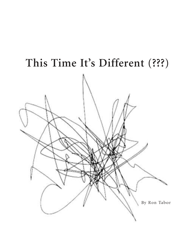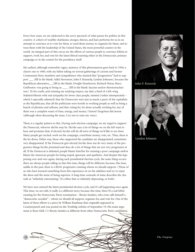Every four years, we are subjected to the sorry spectacle of what passes for politics in this country. A cohort of wealthy charlatans, stooges, thieves, and liars performs for us in an attempt to convince us to vote for them, to send them money, to organize for them, and to trust them with the leadership of the United States, the most powerful country in the world. An integral part of this circus are the efforts of various people to convince leftists to support, work for, and vote for the latest liberal running either in the Democratic primary campaign or in the contest for the presidency itself.

My earliest, although somewhat vague, memory of this phenomenon goes back to 1956; a clearer one to 1960, with my father taking on several gatherings of current and former Communist Party members and sympathizers who insisted that "progressives" had to support \_\_\_ (fill in the blank: Adlai Stevenson, John F. Kennedy, Lyndon Johnson), because the Republican alternative\_\_\_(fill in the blank: Dwight Eisenhower, Richard Nixon, Barry Goldwater) was going to bring us \_\_\_\_ (fill in the blank: fascism and/or thermonuclear war). To his credit, and winning my undying respect, my dad, a kind of a left-wing Stalinist/Maoist with real sympathy for lower class people, insisted (rather intemperately – which I especially admired) that the Democrats were just as much a party of the capitalists as the Republicans, that all the politicians were hostile to working people as well as being a bunch of phonies and sellouts, and that voting for, let alone actually working for, any of them was a complete waste of time, energy, and money. I haven't forgotten this lesson (although when discussing the issue, I try not to raise my voice).

There is a regular pattern to this. During each election campaign, we are urged to support the Democrat, whoever she/he may be. He/she says a lot of things we on the left want to hear and promises that, if elected, he/she will do all sorts of things we'd like to see done. Many people get excited, work on the campaign, contribute money, vote, etc. Then, there is the let-down. Either way, those who supported the candidate are disappointed, sometimes very disappointed. If the Democrat gets elected, he/she does not do very many of the progressive things he/she promised and does do a lot of things that are not very progressive at all. If the Democrat is defeated, people blame him/her for running a poor campaign and/or blame the American people for being stupid, ignorant, and apathetic. And despite this happening over and over again, during each presidential election cycle, the same thing occurs: there are always people telling us that this time, things will be different, because, this time, unlike in the past, there is a REAL progressive running whom we should support. (Those of us who have learned something from this experience sit on the sidelines and try to enjoy the show and the sense of being superior. A long-time comrade of mine describes the charade as "infinitely entertaining." It's either that or infinitely depressing, or both).

We have now entered the latest presidential election cycle, and it's all happening once again. This time, we are told, it really is a different story, because this time, there IS a real leftist running for the Democratic Party nomination – Bernie Sanders, who even calls himself a "democratic socialist" – whom we should all support, organize for, and vote for. One of the latest of these efforts is a piece by William Kaufman that originally appeared in Counterpunch and was posted on the Truthdig website of September 19. His main argument is three-fold: (1) Bernie Sanders is different from other Democratic Party candidates;





John F. Kennedy



Lyndon Johnson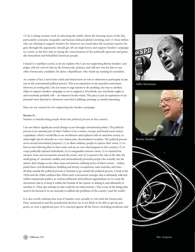(2) he is doing yeoman work in educating the public about the burning issues of the day, particularly economic inequality and human-induced global warming; and (3) those leftists who are refusing to support Sanders for whatever our usual ultra-left sectarian reasons (he goes through the arguments) should get off our high horses and support Sanders' campaign as a tactic, as the first step in raising the consciousness of the politically ignorant and generally benumbed and befuddled American people.

I found it a repellant screed, so let me explain why I am not supporting Bernie Sanders' campaign, will not vote for him in the Democratic primary, and will not vote for him or any other Democratic candidate (let alone a Republican) who winds up running for president.

As a matter of fact, I never have voted and intend never to vote or otherwise to participate in any way in the conventional political process. This is an expression of my anarchist convictions. However, in writing this, I do not mean to urge anyone to do anything, one way or another, either to support Sanders' campaign or not to support it. Everybody can, everybody ought to, and everybody probably will -- do whatever he/she wants. This piece is just an expression of my personal views directed to whomever may find it edifying, amusing, or merely interesting.

Here are my reasons for not supporting the Sanders campaign.

## **Reason #1.**

Sanders is miseducating people about the political process in this country.

I do not believe significant social change occurs through conventional politics. The political process is an essential part of what I believe to be a rotten, corrupt, and brutal social system (capitalism) which I would like to see overthrown and replaced with an anarchist society, or what might also be describe as a very democratic, decentralized socialism. The political process serves several interrelated purposes: (1) to allow ordinary people to express their views; (2) to fool us into believing that we have some real say-so over what happens in this country; (3) to coopt politically talented individuals; (4) to marginalize extreme views; (5) to channel less extreme views and movements toward the center; and (6) to preserve the rule of the elite, the small group of extremely wealthy and extraordinarily powerful people who actually run the nation. Real change occurs when mass movements, utilizing tactics of direct action -- strikes, picket lines, civil disobedience, building and factory occupations, mass marches, and riots - develop outside the political process or threaten to go outside the political process. A look at the 1930s and the 1960s confirms this. When such a movement emerges, this is ultimately reflected within mainstream politics, as various politicians and political organizations act to coopt the movement, that is, to keep it within the bounds of the system, to defang it, and ultimately to smother it. (They also attempt to take credit for its achievements.) This is one of the things that need to be learned if we are seriously to address the problems of the country (and the world).

It is also worth realizing that even if Sanders were actually to win both the Democratic Party nomination and the presidential election, he is not likely to be able to get his program, or even a significant part of it, enacted against all the forces (including moderate and



Adlai Stevenson



Bernie Sanders



*The Utopian*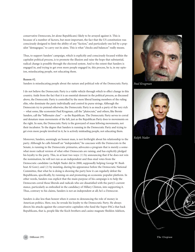conservative Democrats, let alone Republicans) likely to be arrayed against it. This is because of a number of factors, but most important, the fact that the US constitution was consciously designed to limit the ability of any "faction," and particularly one led by a populist "demagogue," to carry out its aims. This is what "checks and balances" really means.

Thus, to support Sanders' campaign, which is explicitly and consciously focused within the capitalist political process, is to promote the illusion and raise the hope that substantial, radical change is possible through the electoral system. And to the extent that Sanders is engaged in, and trying to get even more people engaged in, this process, he is, in my opinion, miseducating people, not educating them.

## **Reason #2.**

Sanders is miseducating people about the nature and political role of the Democratic Party.

I do not believe the Democratic Party is a viable vehicle through which to effect change in this country. Aside from the fact that it is an essential element in the political process, as discussed above, the Democratic Party is controlled by the more liberal leaning members of the ruling elite, who dominate the party individually and control its purse strings. Although the Democrats try to pretend otherwise, the Democratic Party is as much a party of the very rich -- what some, like economist Paul Krugman, call the "plutocrats," and others, like Bernie Sanders, call the "billionaire class" -- as the Republican. The Democratic Party serves to corral and denature mass movements of the left, just as the Republican Party does to movements on the right. In sum, the Democratic Party is the graveyard of mass leftwing movements, not their incubator. To the degree that Sanders is running in the Democratic Party and trying to get even more people involved in it, he is actively misleading people, not educating them.

Moreover, Sanders, seemingly an honest man, is not forthright about his relationship to the party. Although he calls himself an "independent," he caucuses with the Democrats in the Senate, is running in the Democratic primaries, advocates a program that is merely a somewhat more radical version of what other Democrats are raising, and has explicitly pledged his loyalty to the party. This, in at least two ways: (1) by announcing that if he does not win the nomination, he will not run as an independent and thus steal votes from the Democratic candidate (as Ralph Nader did in 2000, supposedly helping George W. Bush beat Al Gore); and (2) by insisting, during his appearance before the Democratic National Committee, that what he is doing is showing the party how it can regularly defeat the Republicans, specifically, by running on and promoting an economic populist platform. In other words, Sanders was explicit that the main purpose of his campaign is to help the Democrats corral those liberals and radicals who are dissatisfied with the party's current stance, particularly as embodied in the candidacy of Hillary Clinton, into supporting it. Thus, contrary to his claims, Sanders is not an independent at all; he's a Democrat.

Sanders is also less than honest when it comes to denouncing the role of money in American politics. Here, too, he reveals his loyalty to the Democratic Party. He always directs his attacks against the conservative capitalists who fund the Super-PACs that back Republicans, that is, people like the Koch brothers and casino magnate Sheldon Adelson,



*Paul Krugman*



*Ralph Nader*

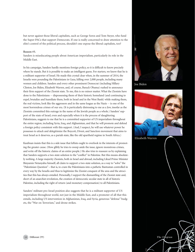but never against those liberal capitalists, such as George Soros and Tom Steyer, who fund the Super-PACs that support Democrats. If one is really concerned to draw attention to the elite's control of the political process, shouldn't one expose the liberal capitalists, too?

## **Reason #3.**

Sanders is miseducating people about American imperialism, particularly its role in the Middle East.

In his campaign, Sanders hardly mentions foreign policy, so it is difficult to know precisely where he stands. But it is possible to make an intelligent guess. For starters, we know that he is a militant supporter of Israel. He made this crystal clear when, in the summer of 2014, the Israelis were pounding the Palestinians in Gaza, killing over 2,000 people, including many women and children. Sanders and every other prominent Democrat (including Hillary Clinton, Joe Biden, Elizabeth Warren, and, of course, Barack Obama) rushed to announce their firm support of the Zionist state. To me, this is no minor matter. What the Zionists have done to the Palestinians -- dispossessing them of their historic homeland (and continuing to expel, brutalize and humiliate them, both in Israel and in the West Bank) while making them, the real victims, look like the aggressors and in the same league as the Nazis -- is one of the most horrendous crimes of our era. (It is particularly distressing to me as a Jew, insofar as the Zionists committed this outrage in the name of the Jewish people as a whole.) Sanders' support of the state of Israel, even and especially when it is the process of slaughtering Palestinians, suggests to me that he is a committed supporter of US imperialism throughout the entire region, including Syria, Iraq, and Afghanistan, and that he will promote and defend a foreign policy consistent with this support. (And, I suspect, he will use whatever power he possesses to attack and delegitimize the Boycott, Divest, and Sanction movement that aims to treat Israel as it deserves, as a pariah state, like the old apartheid regime in South Africa.)

Kaufman insists that this is a side issue that leftists ought to overlook in the interests of promoting the greater cause. (How glibly he tries to sweep aside the issue, ignore monstrous crimes, and write off the historic claims of an entire people.) He also tries to reassure us by explaining that Sanders supports a two-state solution to the "conflict" in Palestine. But this means absolutely nothing. A large majority Zionists, both in Israel and abroad, including Likud Prime Minister Binyamin Netanyahu himself, all claim to support a two-state solution, as a way to "solve" the "Palestinian Question" – that is, to cram the Palestinians into a pathetic Bantustan controlled in every way by the Israelis and thus to legitimize the Zionist conquest of the area and the atrocities that this has always entailed. Personally, I support the dismantling of the Zionist state and, short of an anarchist revolution, the creation of democratic secular state in all of historic Palestine, including the right of return (and monetary compensation) to all Palestinians.

Sanders' militant pro-Israel position also suggests that he is a militant supporter of US imperialism throughout world, not just in the Middle East, and a promoter of all that this entails, including US intervention in Afghanistan, Iraq, and Syria, generous "defense" budgets, the "War on Terrorism," and drone strikes.



Joe Biden



Elizabeth Warren

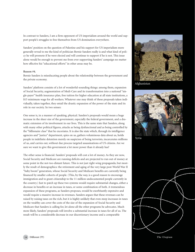In contrast to Sanders, I am a firm opponent of US imperialism around the world and support people's struggles to free themselves from US domination everywhere.

Sanders' position on the question of Palestine and his support for US imperialism more generally reveal to me the kind of politician Bernie Sanders really is and what kind of policy he will promote if he were elected and will continue to support if he is not. This issue alone would be enough to prevent me from ever supporting Sanders' campaign no matter how effective his "educational efforts" in other areas may be.

## **Reason #4.**

Bernie Sanders is miseducating people about the relationship between the government and the private economy.

Sanders' platform consists of a lot of wonderful-sounding things: among them, expansion of Social Security, augmentation of Medi-Care and its transformation into a national "single-payer" health insurance plan, free tuition for higher education at all state institutions, a \$15 minimum wage for all workers. Whatever one may think of these proposals taken individually, taken together, they entail the drastic expansion of the power of the state and its role in our society. In two senses:

One sense is, in a manner of speaking, physical. Sanders's proposals would mean a huge increase in the sheer size of the government, especially the federal government, and a dramatic extension of its involvement in our lives. This is the same state that Sanders, along with many other political figures, attacks as being dysfunctional and as being controlled by the "billionaire class" that he excoriates. It is also the state which, through its intelligence agencies and "justice" department, spies on us, gathers voluminous data about us, holds people in indefinite detention merely on suspicion of being terrorists, incarcerates millions of us, and carries out, without due process targeted assassinations of US citizens. Are we sure we want to give this government a lot more power than it already has?

The other sense is financial. Sanders' proposals will cost a lot of money. As they are now, Social Security and Medicare are running deficits and are projected to run out of money at some point in the not-too-distant future. This is not just right-wing propaganda, but mostly the result of demographics: the retirement and aging of the very large post-World War II "baby boom" generation, whose Social Security and Medicare benefits are currently being financed by smaller cohorts of people. (This, by the way, is a good reason to encourage immigration and to grant citizenship to the 11 million undocumented people currently in the country.) Just to patch up these two systems would require substantial changes, either a decrease in benefits or an increase in taxes, or some combination of both. A tremendous expansion of these programs, as Sanders proposes, would be exorbitantly expensive and would require a massive increase in revenues. Sanders argues that these revenues can be raised by raising taxes on the rich, but it is highly unlikely that even steep increases in taxes on the wealthy can cover the costs of the size of the expansion of Social Security and Medicare that Sanders is calling for, let alone all the other programs he advocates. Much more likely, Sanders' proposals will involve a substantial increase in taxes for all of us. The result will be a considerable decrease in our discretionary income and a comparable



Afghanistan



Syria

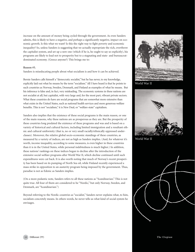increase on the amount of money being cycled through the government. As even Sanders admits, this is likely to have a negative, and perhaps a significantly negative, impact on economic growth. Is this what we want? Is this the right way to fight poverty and economic inequality? So, unless Sanders is suggesting that we actually expropriate the rich, overthrow the capitalist system, and set up a new one (which if he is, he ought to say so explicitly), his programs are likely to lead not to prosperity but to a stagnating and state- and bureaucratdominated economy. (Greece anyone?) This brings me to:

#### **Reason #5.**

Sanders is miseducating people about what socialism is and how it can be achieved.

Bernie Sanders calls himself a "democratic socialist," but he has never, to my knowledge, explicitly laid out what he means by the term "socialism." All I have heard is that he points to such countries as Norway, Sweden, Denmark, and Finland as examples of what he means. But his inference is false and, in fact, very misleading. The economic systems in these nations are not socialist at all, but capitalist, with very large and, for the most part, vibrant private sectors. What these countries do have are social programs that are somewhat more extensive than what exists in the United States, such as national health services and more generous welfare benefits. This is not "socialism," it is New Deal, or "welfare-state" capitalism.

Sanders also implies that the existence of these social programs is the main reason, or one of the main reasons, why these nations are as prosperous as they are. But the prosperity of these countries long predated the existence of these programs and was and is based on a variety of historical and cultural factors, including limited immigration and a resultant ethnic and cultural uniformity (that is, no or very small racially/ethnically oppressed underclasses). Moreover, the relative global socio-economic standings of these countries, as measured by a variety of indices, are not as high as Sanders implies. (And, for whatever it's worth, income inequality, according to some measures, is even higher in these countries than it is in the United States, while personal indebtedness is much higher.) In addition, these nations' rankings on these indices began to decline after the introduction of the extensive social welfare programs after World War II, which decline continued until such expenditures were cut back. It is also worth noting that much of Norway's recent prosperity has been based on its pumping of North Sea oil, while Finland recently experienced a mass strike in opposition to an austerity program being imposed by the government. Thus, paradise is not as Edenic as Sanders implies.

(On a more pedantic note, Sanders refers to all these nations as "Scandinavian." This is not quite true. All four of them are considered to be "Nordic," but only Norway, Sweden, and Denmark, are "Scandinavian.")

Beyond referring to the Nordic countries as "socialist," Sanders never explains what, to him, socialism concretely means. In others words, he never tells us what kind of social system he envisages.



World War II



World War II

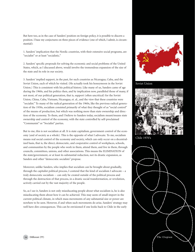But here too, as in the case of Sanders' position on foreign policy, it is possible to discern a position. I base my conjectures on three pieces of evidence (one of which, I admit, is circumstantial):

1. Sanders' implication that the Nordic countries, with their extensive social programs, are "socialist" or at least "socialistic."

2. Sanders' specific proposals for solving the economic and social problems of the United States, which, as I discussed above, would involve the tremendous expansion of the size of the state and its role in our society.

3. Sanders' implied support, in the past, for such countries as Nicaragua, Cuba, and the Soviet Union, each of which he visited. (He actually took his honeymoon in the Soviet Union.) This is consistent with his political history. Like many of us, Sanders came of age during the 1960s, and his politics then, and by implication now, paralleled those of many, if not most, of our political generation, that is, support (often uncritical) for the Soviet Union, China, Cuba, Vietnam, Nicaragua, et. al., and the view that these countries were "socialist." To many of the radical generation of the 1960s, like the previous radical generation of the 1930s, socialism consisted primarily of what they thought of as "social control" of the means of production, but which was nothing more than state ownership and direction of the economy. To them, and I believe to Sanders today, socialism meant/means state ownership and control of the economy, with the state controlled by self-proclaimed "Communist" or "Socialist" parties.

But to me, this is not socialism at all. It is state capitalism, government control of the economy (and of society as a whole). This is the opposite of what I advocate. To me, socialism means real social control of the economy and society, which can only occur on a decentralized basis, that is, the direct, democratic, and cooperative control of workplaces, schools, and communities by the people who work in them, attend them, and live in them, through councils, committees, unions, and other associations. This means the ELIMINATION of the state/government, or at least its substantial reduction, not its drastic expansion, as Sanders and other "democratic socialists" propose.

Moreover, unlike Sanders, who implies that socialism can be brought about gradually, through the capitalist political process, I contend that the kind of socialism I advocate – a truly democratic socialism -- can only be created outside of the political process and through the destruction of that process, in a drastic social transformation, or revolution, actively carried out by the vast majority of the people.

So, as I see it, Sanders is not only miseducating people about what socialism is, he is also miseducating them about how it can be achieved. This may seem of small import in the current political climate, in which mass movements of any substantial size or power are nowhere to be seen. However, if and when such movements do arise, Sanders' strategy may well have dire consequences. This can be envisioned if one looks back to Chile in the early



Soviet Union



Chile 1970's

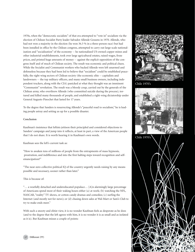1970s, when the "democratic socialists" of that era attempted to "vote in" socialism via the election of Chilean Socialist Party leader Salvador Allende Gossens in 1970. Allende, who had not won a majority in the election (he won 36.3 % in a three-person race) but had been installed in office by the Chilean congress, attempted to carry out large-scale nationalization and "socialization" of the economy -- he nationalized US-owned copper mines and other industrial establishments, took over large agricultural estates, raised wages, froze prices, and printed huge amounts of money -- against the explicit opposition of the congress itself and of much of Chilean society. The result was economic and political chaos. While the Socialist and Communist workers who backed Allende were left unarmed and defenseless because they had been led to believe that "socialism" could be established peacefully, the right-wing sectors of Chilean society (the economic elite -- capitalists and landowners -- the top military officers, and many small business owners, including independent truckers, along with the CIA) panicked at what they thought was an imminent "Communist" revolution. The result was a bloody coup, carried out by the generals of the Chilean army, who overthrew Allende (who committed suicide during the process), tortured and killed many thousands of people, and established a right-wing dictatorship under General Augusto Pinochet that lasted for 17 years.

To the degree that Sanders is resurrecting Allende's "peaceful road to socialism," he is leading people astray and setting us up for a possible disaster.

## **Conclusion**

Kaufman's insistence that leftists jettison their principled and considered objections to Sanders' campaign and jump into it reflects, at least in part, a view of the American people that I do not share. It is worth hearing it in Kaufman's own words.

# Kaufman sees the left's current task as:

"How to awaken tens of millions of people from the entrapments of mass hypnosis, prostration, and indifference and into the first halting steps toward recognition and selfemancipation?"

"The near-zero collective political IQ of the country urgently needs raising by any means possible and necessary, sooner rather than later."

## This is because of:

"… a woefully detached and undereducated populace… [A]n alarmingly large percentage of Americans spend most of their waking hours either (a) at work; (b) watching the NFL, NASCAR, "reality" TV shows, or cotton-candy dramas and comedies; (c) surfing the Internet (and mostly not for news); or (d) chasing down sales at Wal-Mart or Sam's Club to try to make ends meet."

With such a snooty and elitist view, it is no wonder Kaufman feels as desperate as he does (and to the degree that the left agrees with him, it is no wonder it is as small and as isolated as it is). But Kaufman misses a couple of points:



Chile 1970's